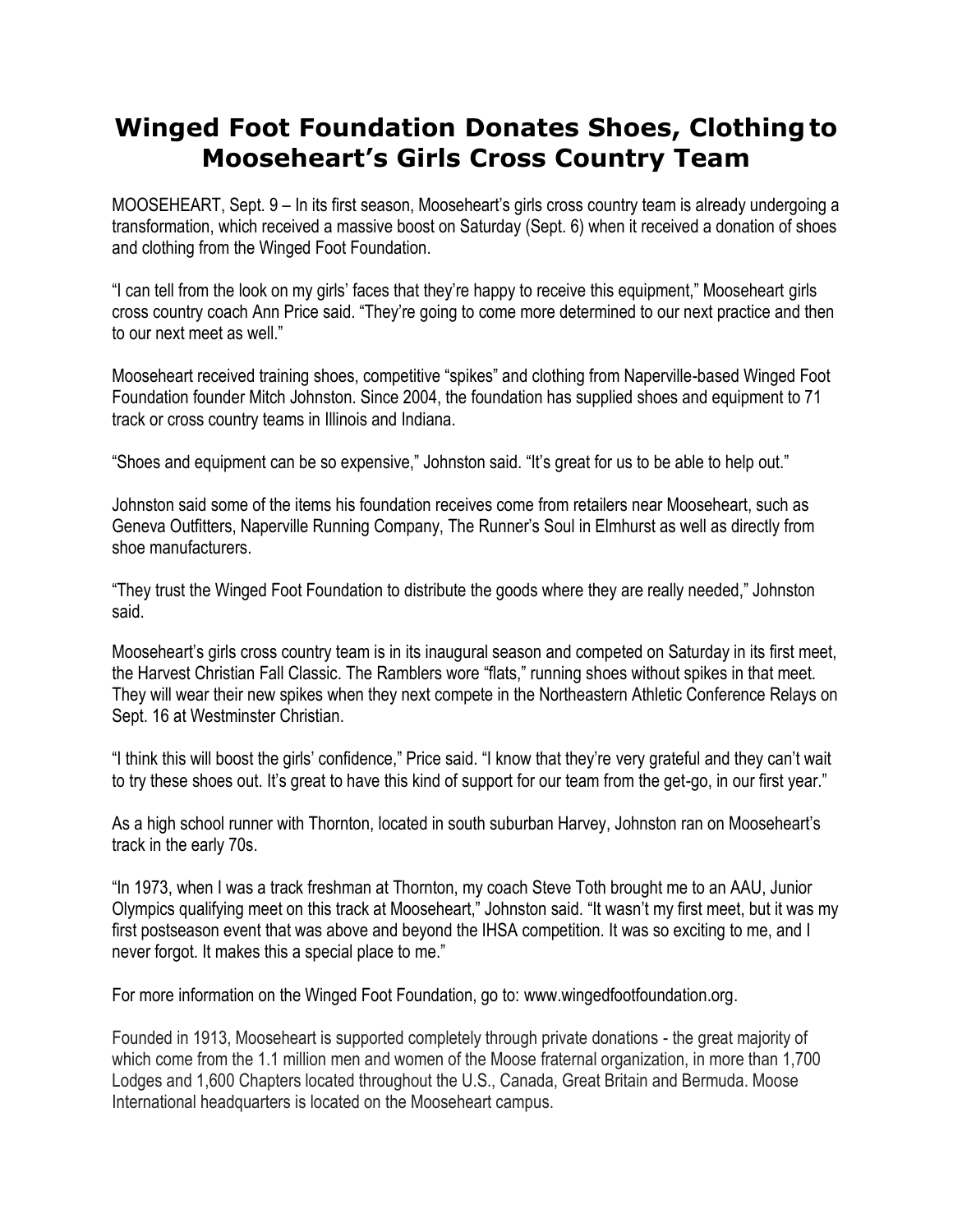## **Winged Foot Foundation Donates Shoes, Clothingto Mooseheart's Girls Cross Country Team**

MOOSEHEART, Sept. 9 – In its first season, Mooseheart's girls cross country team is already undergoing a transformation, which received a massive boost on Saturday (Sept. 6) when it received a donation of shoes and clothing from the Winged Foot Foundation.

"I can tell from the look on my girls' faces that they're happy to receive this equipment," Mooseheart girls cross country coach Ann Price said. "They're going to come more determined to our next practice and then to our next meet as well."

Mooseheart received training shoes, competitive "spikes" and clothing from Naperville-based Winged Foot Foundation founder Mitch Johnston. Since 2004, the foundation has supplied shoes and equipment to 71 track or cross country teams in Illinois and Indiana.

"Shoes and equipment can be so expensive," Johnston said. "It's great for us to be able to help out."

Johnston said some of the items his foundation receives come from retailers near Mooseheart, such as Geneva Outfitters, Naperville Running Company, The Runner's Soul in Elmhurst as well as directly from shoe manufacturers.

"They trust the Winged Foot Foundation to distribute the goods where they are really needed," Johnston said.

Mooseheart's girls cross country team is in its inaugural season and competed on Saturday in its first meet, the Harvest Christian Fall Classic. The Ramblers wore "flats," running shoes without spikes in that meet. They will wear their new spikes when they next compete in the Northeastern Athletic Conference Relays on Sept. 16 at Westminster Christian.

"I think this will boost the girls' confidence," Price said. "I know that they're very grateful and they can't wait to try these shoes out. It's great to have this kind of support for our team from the get-go, in our first year."

As a high school runner with Thornton, located in south suburban Harvey, Johnston ran on Mooseheart's track in the early 70s.

"In 1973, when I was a track freshman at Thornton, my coach Steve Toth brought me to an AAU, Junior Olympics qualifying meet on this track at Mooseheart," Johnston said. "It wasn't my first meet, but it was my first postseason event that was above and beyond the IHSA competition. It was so exciting to me, and I never forgot. It makes this a special place to me."

For more information on the Winged Foot Foundation, go to: [www.wingedfootfoundation.org.](http://www.wingedfootfoundation.org/)

Founded in 1913, Mooseheart is supported completely through private donations - the great majority of which come from the 1.1 million men and women of the Moose fraternal organization, in more than 1,700 Lodges and 1,600 Chapters located throughout the U.S., Canada, Great Britain and Bermuda. Moose International headquarters is located on the Mooseheart campus.